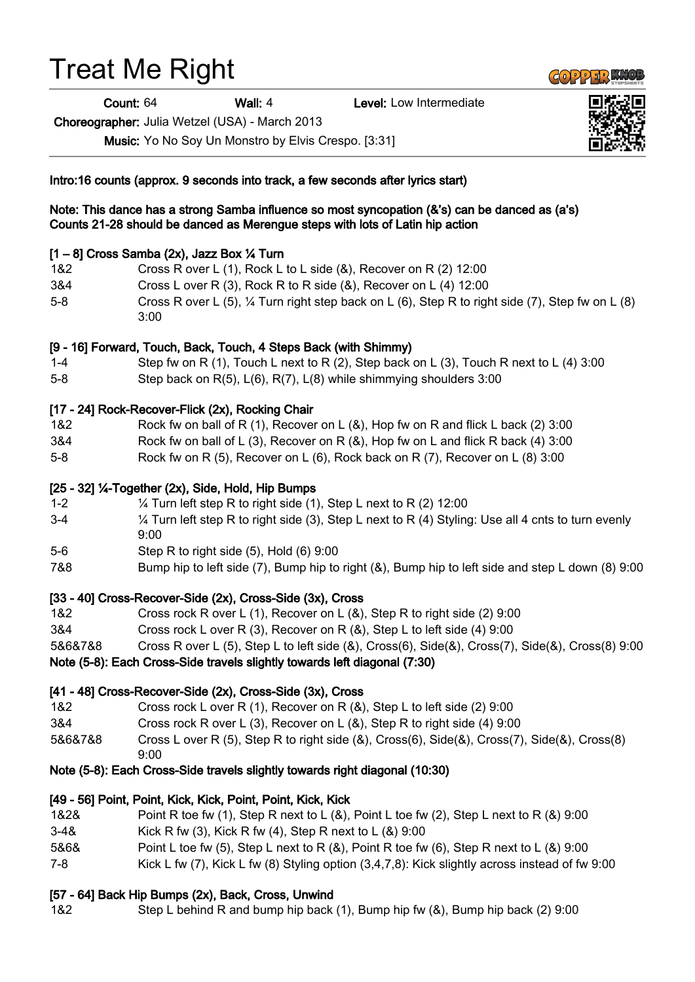# Treat Me Right

Count: 64 Wall: 4 Level: Low Intermediate

Choreographer: Julia Wetzel (USA) - March 2013

Music: Yo No Soy Un Monstro by Elvis Crespo. [3:31]

Intro:16 counts (approx. 9 seconds into track, a few seconds after lyrics start)

#### Note: This dance has a strong Samba influence so most syncopation (&'s) can be danced as (a's) Counts 21-28 should be danced as Merengue steps with lots of Latin hip action

#### $[1 - 8]$  Cross Samba (2x), Jazz Box  $\frac{1}{4}$  Turn

- 1&2 Cross R over L (1), Rock L to L side (&), Recover on R (2) 12:00
- 3&4 Cross L over R (3), Rock R to R side (&), Recover on L (4) 12:00
- 5-8 Cross R over L (5), ¼ Turn right step back on L (6), Step R to right side (7), Step fw on L (8) 3:00

#### [9 - 16] Forward, Touch, Back, Touch, 4 Steps Back (with Shimmy)

- 1-4 Step fw on R (1), Touch L next to R (2), Step back on L (3), Touch R next to L (4) 3:00
- 5-8 Step back on R(5), L(6), R(7), L(8) while shimmying shoulders 3:00

#### [17 - 24] Rock-Recover-Flick (2x), Rocking Chair

- 1&2 Rock fw on ball of R (1), Recover on L (&), Hop fw on R and flick L back (2) 3:00
- 3&4 Rock fw on ball of L (3), Recover on R (&), Hop fw on L and flick R back (4) 3:00
- 5-8 Rock fw on R (5), Recover on L (6), Rock back on R (7), Recover on L (8) 3:00

#### [25 - 32] ¼-Together (2x), Side, Hold, Hip Bumps

- 1-2 ¼ Turn left step R to right side (1), Step L next to R (2) 12:00
- 3-4 ¼ Turn left step R to right side (3), Step L next to R (4) Styling: Use all 4 cnts to turn evenly 9:00
- 5-6 Step R to right side (5), Hold (6) 9:00
- 7&8 Bump hip to left side (7), Bump hip to right (&), Bump hip to left side and step L down (8) 9:00

# [33 - 40] Cross-Recover-Side (2x), Cross-Side (3x), Cross

- 1&2 Cross rock R over L (1), Recover on L (&), Step R to right side (2) 9:00
- 3&4 Cross rock L over R (3), Recover on R (&), Step L to left side (4) 9:00
- 5&6&7&8 Cross R over L (5), Step L to left side (&), Cross(6), Side(&), Cross(7), Side(&), Cross(8) 9:00

Note (5-8): Each Cross-Side travels slightly towards left diagonal (7:30)

# [41 - 48] Cross-Recover-Side (2x), Cross-Side (3x), Cross

- 1&2 Cross rock L over R (1), Recover on R (&), Step L to left side (2) 9:00
- 3&4 Cross rock R over L (3), Recover on L (&), Step R to right side (4) 9:00
- 5&6&7&8 Cross L over R (5), Step R to right side (&), Cross(6), Side(&), Cross(7), Side(&), Cross(8) 9:00

# Note (5-8): Each Cross-Side travels slightly towards right diagonal (10:30)

# [49 - 56] Point, Point, Kick, Kick, Point, Point, Kick, Kick

- 1&2& Point R toe fw (1), Step R next to L (&), Point L toe fw (2), Step L next to R (&) 9:00
- 3-4& Kick R fw (3), Kick R fw (4), Step R next to L (&) 9:00
- 5&6& Point L toe fw (5), Step L next to R (&), Point R toe fw (6), Step R next to L (&) 9:00
- 7-8 Kick L fw (7), Kick L fw (8) Styling option (3,4,7,8): Kick slightly across instead of fw 9:00

# [57 - 64] Back Hip Bumps (2x), Back, Cross, Unwind

1&2 Step L behind R and bump hip back (1), Bump hip fw (&), Bump hip back (2) 9:00